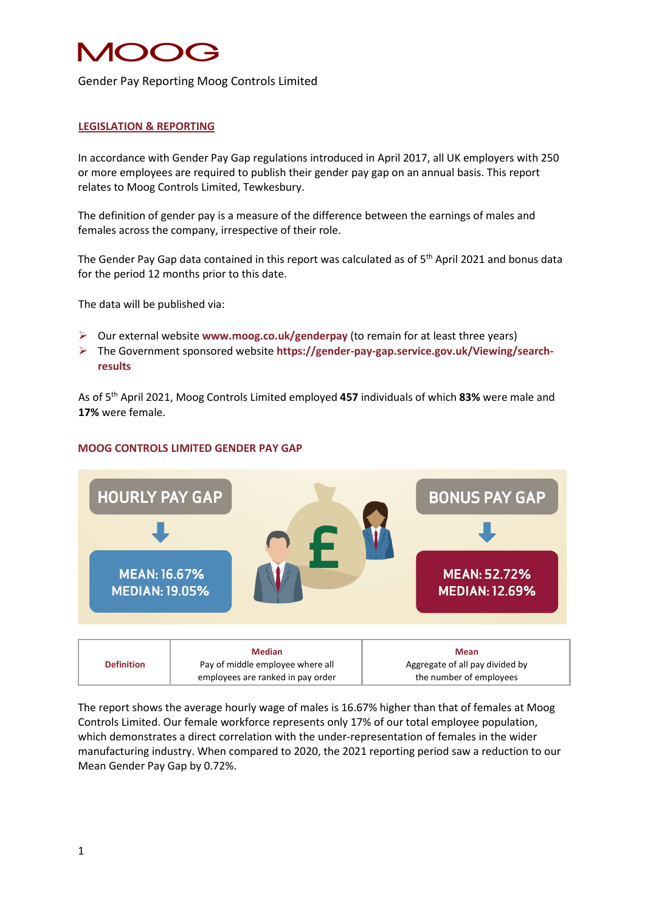# NOC 1

### Gender Pay Reporting Moog Controls Limited

### **LEGISLATION & REPORTING**

In accordance with Gender Pay Gap regulations introduced in April 2017, all UK employers with 250 or more employees are required to publish their gender pay gap on an annual basis. This report relates to Moog Controls Limited, Tewkesbury.

The definition of gender pay is a measure of the difference between the earnings of males and females across the company, irrespective of their role.

The Gender Pay Gap data contained in this report was calculated as of 5<sup>th</sup> April 2021 and bonus data for the period 12 months prior to this date.

The data will be published via:

- Our external website **www.moog.co.uk/genderpay** (to remain for at least three years)
- The Government sponsored website **[https://gender-pay-gap.service.gov.uk/Viewing/search](https://gender-pay-gap.service.gov.uk/Viewing/search-results)[results](https://gender-pay-gap.service.gov.uk/Viewing/search-results)**

As of 5th April 2021, Moog Controls Limited employed **457** individuals of which **83%** were male and **17%** were female.



#### **MOOG CONTROLS LIMITED GENDER PAY GAP**

|                   | <b>Median</b>                     | <b>Mean</b>                     |
|-------------------|-----------------------------------|---------------------------------|
| <b>Definition</b> | Pay of middle employee where all  | Aggregate of all pay divided by |
|                   | employees are ranked in pay order | the number of employees         |

The report shows the average hourly wage of males is 16.67% higher than that of females at Moog Controls Limited. Our female workforce represents only 17% of our total employee population, which demonstrates a direct correlation with the under-representation of females in the wider manufacturing industry. When compared to 2020, the 2021 reporting period saw a reduction to our Mean Gender Pay Gap by 0.72%.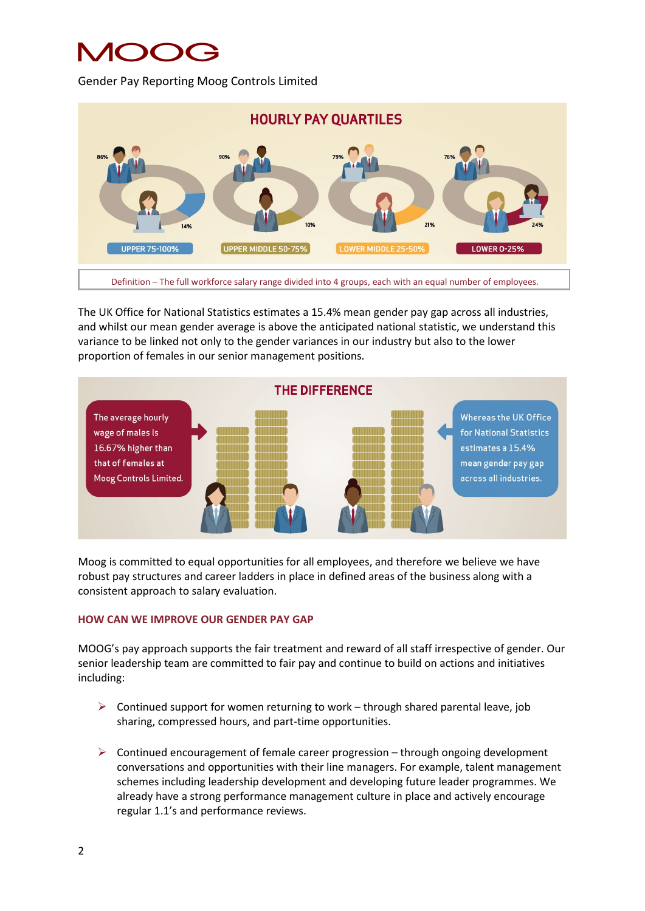# MOOG

Gender Pay Reporting Moog Controls Limited



The UK Office for National Statistics estimates a 15.4% mean gender pay gap across all industries, and whilst our mean gender average is above the anticipated national statistic, we understand this variance to be linked not only to the gender variances in our industry but also to the lower proportion of females in our senior management positions.



Moog is committed to equal opportunities for all employees, and therefore we believe we have robust pay structures and career ladders in place in defined areas of the business along with a consistent approach to salary evaluation.

## **HOW CAN WE IMPROVE OUR GENDER PAY GAP**

MOOG's pay approach supports the fair treatment and reward of all staff irrespective of gender. Our senior leadership team are committed to fair pay and continue to build on actions and initiatives including:

- $\triangleright$  Continued support for women returning to work through shared parental leave, job sharing, compressed hours, and part-time opportunities.
- $\triangleright$  Continued encouragement of female career progression through ongoing development conversations and opportunities with their line managers. For example, talent management schemes including leadership development and developing future leader programmes. We already have a strong performance management culture in place and actively encourage regular 1.1's and performance reviews.